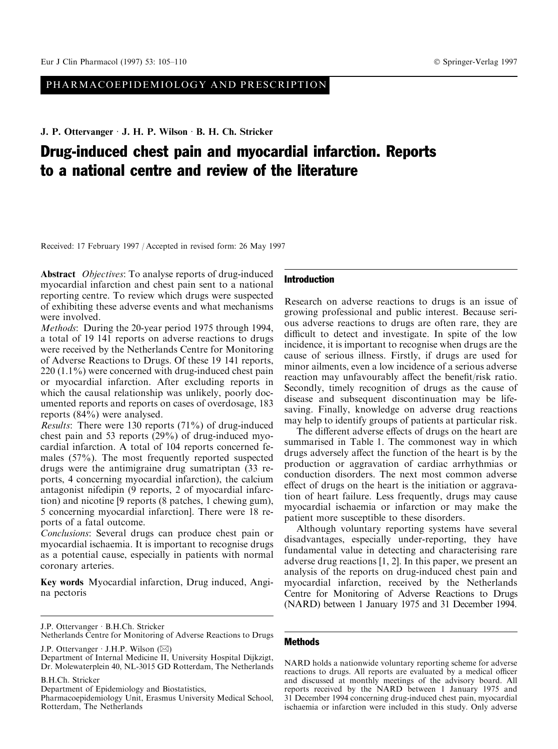# PHARMACOEPIDEMIOLOGY AND PRESCRIPTION

J. P. Ottervanger *J. H. P. Wilson B. H. Ch. Stricker* 

# Drug-induced chest pain and myocardial infarction. Reports to a national centre and review of the literature

Received: 17 February 1997 / Accepted in revised form: 26 May 1997

Abstract *Objectives*: To analyse reports of drug-induced myocardial infarction and chest pain sent to a national reporting centre. To review which drugs were suspected of exhibiting these adverse events and what mechanisms were involved.

Methods: During the 20-year period 1975 through 1994, a total of 19 141 reports on adverse reactions to drugs were received by the Netherlands Centre for Monitoring of Adverse Reactions to Drugs. Of these 19 141 reports, 220 (1.1%) were concerned with drug-induced chest pain or myocardial infarction. After excluding reports in which the causal relationship was unlikely, poorly documented reports and reports on cases of overdosage, 183 reports (84%) were analysed.

Results: There were 130 reports (71%) of drug-induced chest pain and 53 reports (29%) of drug-induced myocardial infarction. A total of 104 reports concerned females (57%). The most frequently reported suspected drugs were the antimigraine drug sumatriptan (33 reports, 4 concerning myocardial infarction), the calcium antagonist nifedipin (9 reports, 2 of myocardial infarction) and nicotine [9 reports (8 patches, 1 chewing gum), 5 concerning myocardial infarction]. There were 18 reports of a fatal outcome.

Conclusions: Several drugs can produce chest pain or myocardial ischaemia. It is important to recognise drugs as a potential cause, especially in patients with normal coronary arteries.

Key words Myocardial infarction, Drug induced, Angina pectoris

B.H.Ch. Stricker

## Introduction

Research on adverse reactions to drugs is an issue of growing professional and public interest. Because serious adverse reactions to drugs are often rare, they are difficult to detect and investigate. In spite of the low incidence, it is important to recognise when drugs are the cause of serious illness. Firstly, if drugs are used for minor ailments, even a low incidence of a serious adverse reaction may unfavourably affect the benefit/risk ratio. Secondly, timely recognition of drugs as the cause of disease and subsequent discontinuation may be lifesaving. Finally, knowledge on adverse drug reactions may help to identify groups of patients at particular risk.

The different adverse effects of drugs on the heart are summarised in Table 1. The commonest way in which drugs adversely affect the function of the heart is by the production or aggravation of cardiac arrhythmias or conduction disorders. The next most common adverse effect of drugs on the heart is the initiation or aggravation of heart failure. Less frequently, drugs may cause myocardial ischaemia or infarction or may make the patient more susceptible to these disorders.

Although voluntary reporting systems have several disadvantages, especially under-reporting, they have fundamental value in detecting and characterising rare adverse drug reactions [1, 2]. In this paper, we present an analysis of the reports on drug-induced chest pain and myocardial infarction, received by the Netherlands Centre for Monitoring of Adverse Reactions to Drugs (NARD) between 1 January 1975 and 31 December 1994.

#### **Methods**

NARD holds a nationwide voluntary reporting scheme for adverse reactions to drugs. All reports are evaluated by a medical officer and discussed at monthly meetings of the advisory board. All reports received by the NARD between 1 January 1975 and 31 December 1994 concerning drug-induced chest pain, myocardial ischaemia or infarction were included in this study. Only adverse

J.P. Ottervanger · B.H.Ch. Stricker

Netherlands Centre for Monitoring of Adverse Reactions to Drugs

J.P. Ottervanger  $\cdot$  J.H.P. Wilson ( $\boxtimes$ )

Department of Internal Medicine II, University Hospital Dijkzigt, Dr. Molewaterplein 40, NL-3015 GD Rotterdam, The Netherlands

Department of Epidemiology and Biostatistics,

Pharmacoepidemiology Unit, Erasmus University Medical School, Rotterdam, The Netherlands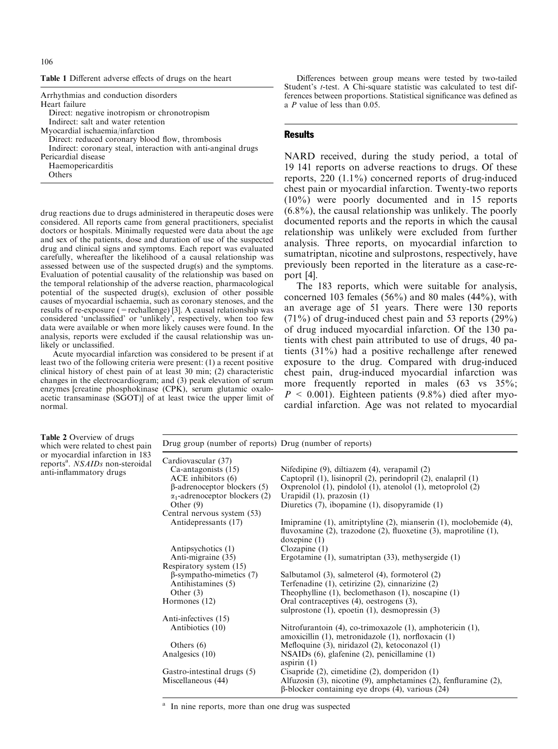|  | ł<br>×<br>۰, | ٧<br>i<br>×<br>۰. |
|--|--------------|-------------------|
|--|--------------|-------------------|

Table 1 Different adverse effects of drugs on the heart

| Arrhythmias and conduction disorders                          | ------<br>ference |
|---------------------------------------------------------------|-------------------|
| Heart failure                                                 | $a$ P va          |
| Direct: negative inotropism or chronotropism                  |                   |
| Indirect: salt and water retention                            |                   |
| Myocardial ischaemia/infarction                               | Resul             |
| Direct: reduced coronary blood flow, thrombosis               |                   |
| Indirect: coronary steal, interaction with anti-anginal drugs |                   |
| Pericardial disease                                           | <b>NAR</b>        |
| Haemopericarditis                                             | 19 14             |
| <b>Others</b>                                                 | repor             |
|                                                               |                   |

drug reactions due to drugs administered in therapeutic doses were considered. All reports came from general practitioners, specialist doctors or hospitals. Minimally requested were data about the age and sex of the patients, dose and duration of use of the suspected drug and clinical signs and symptoms. Each report was evaluated carefully, whereafter the likelihood of a causal relationship was assessed between use of the suspected drug(s) and the symptoms. Evaluation of potential causality of the relationship was based on the temporal relationship of the adverse reaction, pharmacological potential of the suspected drug(s), exclusion of other possible causes of myocardial ischaemia, such as coronary stenoses, and the results of re-exposure (=rechallenge) [3]. A causal relationship was considered 'unclassified' or 'unlikely', respectively, when too few data were available or when more likely causes were found. In the analysis, reports were excluded if the causal relationship was unlikely or unclassified.

Acute myocardial infarction was considered to be present if at least two of the following criteria were present: (1) a recent positive clinical history of chest pain of at least 30 min; (2) characteristic changes in the electrocardiogram; and (3) peak elevation of serum enzymes [creatine phosphokinase (CPK), serum glutamic oxaloacetic transaminase (SGOT)] of at least twice the upper limit of normal.

Differences between group means were tested by two-tailed Student's t-test. A Chi-square statistic was calculated to test difes between proportions. Statistical significance was defined as  $u$ lue of less than 0.05.

## Results

D received, during the study period, a total of 1 reports on adverse reactions to drugs. Of these ts,  $220$  (1.1%) concerned reports of drug-induced chest pain or myocardial infarction. Twenty-two reports (10%) were poorly documented and in 15 reports (6.8%), the causal relationship was unlikely. The poorly documented reports and the reports in which the causal relationship was unlikely were excluded from further analysis. Three reports, on myocardial infarction to sumatriptan, nicotine and sulprostons, respectively, have previously been reported in the literature as a case-report [4].

The 183 reports, which were suitable for analysis, concerned 103 females (56%) and 80 males (44%), with an average age of 51 years. There were 130 reports  $(71\%)$  of drug-induced chest pain and 53 reports  $(29\%)$ of drug induced myocardial infarction. Of the 130 patients with chest pain attributed to use of drugs, 40 patients (31%) had a positive rechallenge after renewed exposure to the drug. Compared with drug-induced chest pain, drug-induced myocardial infarction was more frequently reported in males (63 vs  $35\%$ ;  $P \le 0.001$ ). Eighteen patients (9.8%) died after myocardial infarction. Age was not related to myocardial

| <b>Table 2 Overview of drugs</b><br>which were related to chest pain<br>or myocardial infarction in 183<br>reports <sup>a</sup> . <i>NSAIDs</i> non-steroidal<br>anti-inflammatory drugs | Drug group (number of reports) Drug (number of reports)                                                                                                                                                                   |                                                                                                                                                                                                                                                                                                                                                                                                                                                          |  |
|------------------------------------------------------------------------------------------------------------------------------------------------------------------------------------------|---------------------------------------------------------------------------------------------------------------------------------------------------------------------------------------------------------------------------|----------------------------------------------------------------------------------------------------------------------------------------------------------------------------------------------------------------------------------------------------------------------------------------------------------------------------------------------------------------------------------------------------------------------------------------------------------|--|
|                                                                                                                                                                                          | Cardiovascular (37)<br>Ca-antagonists (15)<br>$ACE$ inhibitors $(6)$<br>$\beta$ -adrenoceptor blockers (5)<br>$\alpha_1$ -adrenoceptor blockers (2)<br>Other $(9)$<br>Central nervous system (53)<br>Antidepressants (17) | Nifedipine (9), diltiazem (4), verapamil (2)<br>Captopril (1), lisinopril (2), perindopril (2), enalapril (1)<br>Oxprenolol $(1)$ , pindolol $(1)$ , atenolol $(1)$ , metoprolol $(2)$<br>Urapidil $(1)$ , prazosin $(1)$<br>Diuretics $(7)$ , ibopamine $(1)$ , disopyramide $(1)$<br>Imipramine (1), amitriptyline (2), mianserin (1), moclobemide (4),<br>fluvoxamine $(2)$ , trazodone $(2)$ , fluoxetine $(3)$ , maprotiline $(1)$ ,<br>doxepine(1) |  |
|                                                                                                                                                                                          | Antipsychotics (1)<br>Anti-migraine (35)<br>Respiratory system (15)<br>$\beta$ -sympatho-mimetics (7)<br>Antihistamines (5)<br>Other $(3)$<br>Hormones (12)                                                               | Clozapine(1)<br>Ergotamine $(1)$ , sumatriptan $(33)$ , methysergide $(1)$<br>Salbutamol (3), salmeterol (4), formoterol (2)<br>Terfenadine $(1)$ , cetirizine $(2)$ , cinnarizine $(2)$<br>Theophylline $(1)$ , beclomethason $(1)$ , noscapine $(1)$<br>Oral contraceptives (4), oestrogens (3),<br>sulprostone $(1)$ , epoetin $(1)$ , desmopressin $(3)$                                                                                             |  |
|                                                                                                                                                                                          | Anti-infectives (15)<br>Antibiotics (10)<br>Others $(6)$<br>Analgesics (10)<br>Gastro-intestinal drugs (5)<br>Miscellaneous (44)                                                                                          | Nitrofurantoin (4), co-trimoxazole (1), amphotericin (1),<br>amoxicillin (1), metronidazole (1), norfloxacin (1)<br>Mefloquine (3), niridazol (2), ketoconazol (1)<br>$NSAIDs$ (6), glafenine (2), penicillamine (1)<br>aspirin $(1)$<br>Cisapride $(2)$ , cimetidine $(2)$ , domperidon $(1)$<br>Alfuzosin (3), nicotine (9), amphetamines (2), fenfluramine (2),<br>$\beta$ -blocker containing eye drops (4), various (24)                            |  |

<sup>a</sup> In nine reports, more than one drug was suspected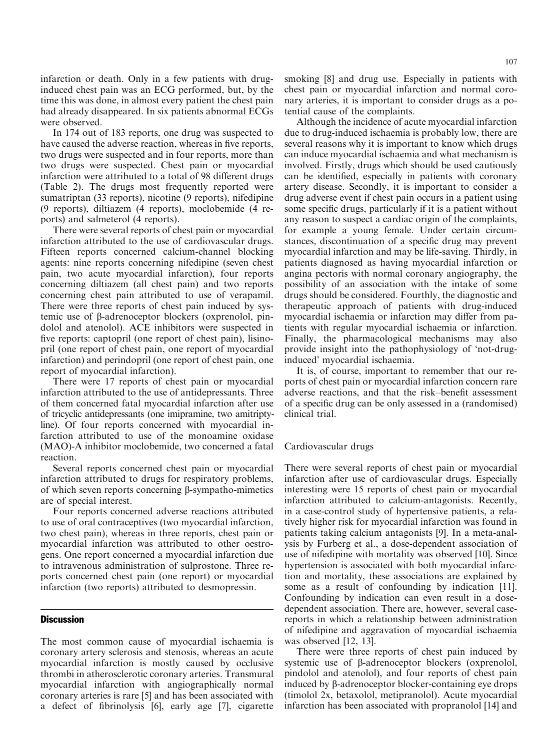infarction or death. Only in a few patients with druginduced chest pain was an ECG performed, but, by the time this was done, in almost every patient the chest pain had already disappeared. In six patients abnormal ECGs were observed.

In 174 out of 183 reports, one drug was suspected to have caused the adverse reaction, whereas in five reports, two drugs were suspected and in four reports, more than two drugs were suspected. Chest pain or myocardial infarction were attributed to a total of 98 different drugs (Table 2). The drugs most frequently reported were sumatriptan (33 reports), nicotine (9 reports), nifedipine (9 reports), diltiazem (4 reports), moclobemide (4 reports) and salmeterol (4 reports).

There were several reports of chest pain or myocardial infarction attributed to the use of cardiovascular drugs. Fifteen reports concerned calcium-channel blocking agents: nine reports concerning nifedipine (seven chest pain, two acute myocardial infarction), four reports concerning diltiazem (all chest pain) and two reports concerning chest pain attributed to use of verapamil. There were three reports of chest pain induced by systemic use of b-adrenoceptor blockers (oxprenolol, pindolol and atenolol). ACE inhibitors were suspected in five reports: captopril (one report of chest pain), lisinopril (one report of chest pain, one report of myocardial infarction) and perindopril (one report of chest pain, one report of myocardial infarction).

There were 17 reports of chest pain or myocardial infarction attributed to the use of antidepressants. Three of them concerned fatal myocardial infarction after use of tricyclic antidepressants (one imipramine, two amitriptyline). Of four reports concerned with myocardial infarction attributed to use of the monoamine oxidase (MAO)-A inhibitor moclobemide, two concerned a fatal reaction.

Several reports concerned chest pain or myocardial infarction attributed to drugs for respiratory problems, of which seven reports concerning  $\beta$ -sympatho-mimetics are of special interest.

Four reports concerned adverse reactions attributed to use of oral contraceptives (two myocardial infarction, two chest pain), whereas in three reports, chest pain or myocardial infarction was attributed to other oestrogens. One report concerned a myocardial infarction due to intravenous administration of sulprostone. Three reports concerned chest pain (one report) or myocardial infarction (two reports) attributed to desmopressin.

### **Discussion**

The most common cause of myocardial ischaemia is coronary artery sclerosis and stenosis, whereas an acute myocardial infarction is mostly caused by occlusive thrombi in atherosclerotic coronary arteries. Transmural myocardial infarction with angiographically normal coronary arteries is rare [5] and has been associated with a defect of fibrinolysis [6], early age [7], cigarette smoking [8] and drug use. Especially in patients with chest pain or myocardial infarction and normal coronary arteries, it is important to consider drugs as a potential cause of the complaints.

Although the incidence of acute myocardial infarction due to drug-induced ischaemia is probably low, there are several reasons why it is important to know which drugs can induce myocardial ischaemia and what mechanism is involved. Firstly, drugs which should be used cautiously can be identified, especially in patients with coronary artery disease. Secondly, it is important to consider a drug adverse event if chest pain occurs in a patient using some specific drugs, particularly if it is a patient without any reason to suspect a cardiac origin of the complaints, for example a young female. Under certain circumstances, discontinuation of a specific drug may prevent myocardial infarction and may be life-saving. Thirdly, in patients diagnosed as having myocardial infarction or angina pectoris with normal coronary angiography, the possibility of an association with the intake of some drugs should be considered. Fourthly, the diagnostic and therapeutic approach of patients with drug-induced myocardial ischaemia or infarction may differ from patients with regular myocardial ischaemia or infarction. Finally, the pharmacological mechanisms may also provide insight into the pathophysiology of `not-druginduced' myocardial ischaemia.

It is, of course, important to remember that our reports of chest pain or myocardial infarction concern rare adverse reactions, and that the risk-benefit assessment of a specific drug can be only assessed in a (randomised) clinical trial.

#### Cardiovascular drugs

There were several reports of chest pain or myocardial infarction after use of cardiovascular drugs. Especially interesting were 15 reports of chest pain or myocardial infarction attributed to calcium-antagonists. Recently, in a case-control study of hypertensive patients, a relatively higher risk for myocardial infarction was found in patients taking calcium antagonists [9]. In a meta-analysis by Furberg et al., a dose-dependent association of use of nifedipine with mortality was observed [10]. Since hypertension is associated with both myocardial infarction and mortality, these associations are explained by some as a result of confounding by indication [11]. Confounding by indication can even result in a dosedependent association. There are, however, several casereports in which a relationship between administration of nifedipine and aggravation of myocardial ischaemia was observed [12, 13].

There were three reports of chest pain induced by systemic use of  $\beta$ -adrenoceptor blockers (oxprenolol, pindolol and atenolol), and four reports of chest pain induced by b-adrenoceptor blocker-containing eye drops (timolol 2x, betaxolol, metipranolol). Acute myocardial infarction has been associated with propranolol [14] and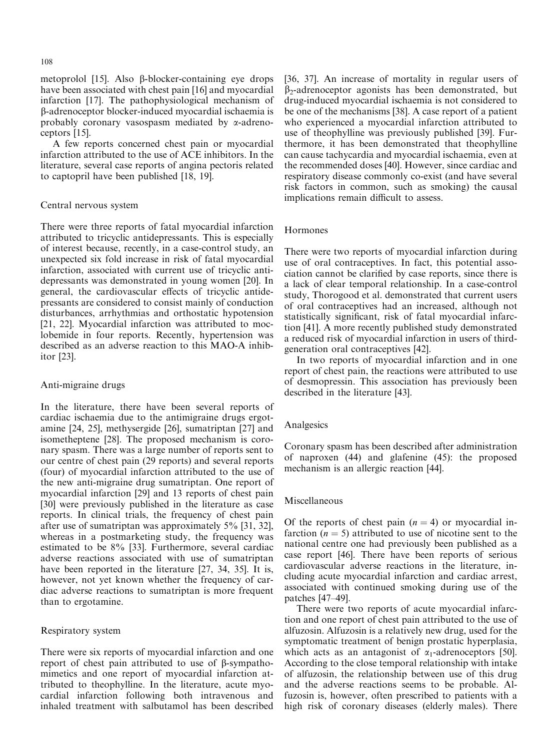metoprolol  $[15]$ . Also  $\beta$ -blocker-containing eye drops have been associated with chest pain [16] and myocardial infarction [17]. The pathophysiological mechanism of b-adrenoceptor blocker-induced myocardial ischaemia is probably coronary vasospasm mediated by  $\alpha$ -adrenoceptors [15].

A few reports concerned chest pain or myocardial infarction attributed to the use of ACE inhibitors. In the literature, several case reports of angina pectoris related to captopril have been published [18, 19].

## Central nervous system

There were three reports of fatal myocardial infarction attributed to tricyclic antidepressants. This is especially of interest because, recently, in a case-control study, an unexpected six fold increase in risk of fatal myocardial infarction, associated with current use of tricyclic antidepressants was demonstrated in young women [20]. In general, the cardiovascular effects of tricyclic antidepressants are considered to consist mainly of conduction disturbances, arrhythmias and orthostatic hypotension [21, 22]. Myocardial infarction was attributed to moclobemide in four reports. Recently, hypertension was described as an adverse reaction to this MAO-A inhibitor [23].

## Anti-migraine drugs

In the literature, there have been several reports of cardiac ischaemia due to the antimigraine drugs ergotamine [24, 25], methysergide [26], sumatriptan [27] and isometheptene [28]. The proposed mechanism is coronary spasm. There was a large number of reports sent to our centre of chest pain (29 reports) and several reports (four) of myocardial infarction attributed to the use of the new anti-migraine drug sumatriptan. One report of myocardial infarction [29] and 13 reports of chest pain [30] were previously published in the literature as case reports. In clinical trials, the frequency of chest pain after use of sumatriptan was approximately 5% [31, 32], whereas in a postmarketing study, the frequency was estimated to be 8% [33]. Furthermore, several cardiac adverse reactions associated with use of sumatriptan have been reported in the literature [27, 34, 35]. It is, however, not yet known whether the frequency of cardiac adverse reactions to sumatriptan is more frequent than to ergotamine.

## Respiratory system

There were six reports of myocardial infarction and one report of chest pain attributed to use of b-sympathomimetics and one report of myocardial infarction attributed to theophylline. In the literature, acute myocardial infarction following both intravenous and inhaled treatment with salbutamol has been described [36, 37]. An increase of mortality in regular users of  $\beta_2$ -adrenoceptor agonists has been demonstrated, but drug-induced myocardial ischaemia is not considered to be one of the mechanisms [38]. A case report of a patient who experienced a myocardial infarction attributed to use of theophylline was previously published [39]. Furthermore, it has been demonstrated that theophylline can cause tachycardia and myocardial ischaemia, even at the recommended doses [40]. However, since cardiac and respiratory disease commonly co-exist (and have several risk factors in common, such as smoking) the causal implications remain difficult to assess.

## Hormones

There were two reports of myocardial infarction during use of oral contraceptives. In fact, this potential association cannot be clarified by case reports, since there is a lack of clear temporal relationship. In a case-control study, Thorogood et al. demonstrated that current users of oral contraceptives had an increased, although not statistically significant, risk of fatal myocardial infarction [41]. A more recently published study demonstrated a reduced risk of myocardial infarction in users of thirdgeneration oral contraceptives [42].

In two reports of myocardial infarction and in one report of chest pain, the reactions were attributed to use of desmopressin. This association has previously been described in the literature [43].

### Analgesics

Coronary spasm has been described after administration of naproxen (44) and glafenine (45): the proposed mechanism is an allergic reaction [44].

# Miscellaneous

Of the reports of chest pain  $(n = 4)$  or myocardial infarction  $(n = 5)$  attributed to use of nicotine sent to the national centre one had previously been published as a case report [46]. There have been reports of serious cardiovascular adverse reactions in the literature, including acute myocardial infarction and cardiac arrest, associated with continued smoking during use of the patches  $[47-49]$ .

There were two reports of acute myocardial infarction and one report of chest pain attributed to the use of alfuzosin. Alfuzosin is a relatively new drug, used for the symptomatic treatment of benign prostatic hyperplasia, which acts as an antagonist of  $\alpha_1$ -adrenoceptors [50]. According to the close temporal relationship with intake of alfuzosin, the relationship between use of this drug and the adverse reactions seems to be probable. Alfuzosin is, however, often prescribed to patients with a high risk of coronary diseases (elderly males). There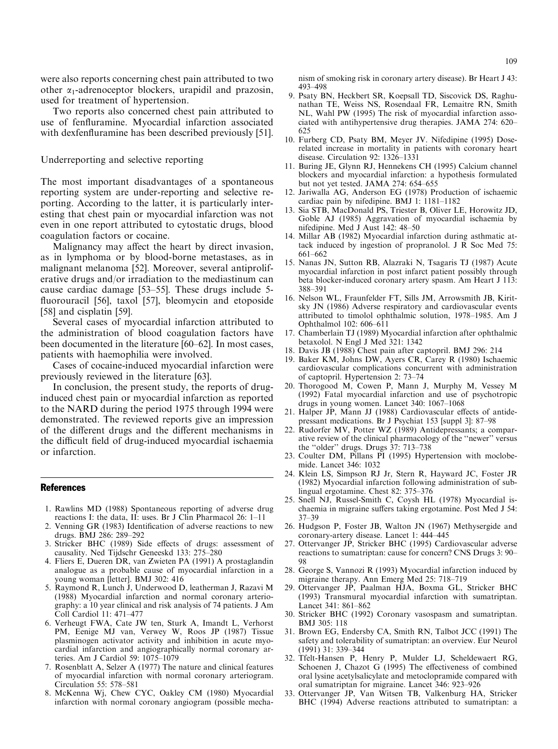were also reports concerning chest pain attributed to two other  $\alpha_1$ -adrenoceptor blockers, urapidil and prazosin, used for treatment of hypertension.

Two reports also concerned chest pain attributed to use of fenfluramine. Myocardial infarction associated with dexfenfluramine has been described previously [51].

## Underreporting and selective reporting

The most important disadvantages of a spontaneous reporting system are under-reporting and selective reporting. According to the latter, it is particularly interesting that chest pain or myocardial infarction was not even in one report attributed to cytostatic drugs, blood coagulation factors or cocaine.

Malignancy may affect the heart by direct invasion, as in lymphoma or by blood-borne metastases, as in malignant melanoma [52]. Moreover, several antiproliferative drugs and/or irradiation to the mediastinum can cause cardiac damage  $[53-55]$ . These drugs include 5fluorouracil [56], taxol [57], bleomycin and etoposide [58] and cisplatin [59].

Several cases of myocardial infarction attributed to the administration of blood coagulation factors have been documented in the literature [60–62]. In most cases, patients with haemophilia were involved.

Cases of cocaine-induced myocardial infarction were previously reviewed in the literature [63].

In conclusion, the present study, the reports of druginduced chest pain or myocardial infarction as reported to the NARD during the period 1975 through 1994 were demonstrated. The reviewed reports give an impression of the different drugs and the different mechanisms in the difficult field of drug-induced myocardial ischaemia or infarction.

#### References

- 1. Rawlins MD (1988) Spontaneous reporting of adverse drug reactions I: the data, II: uses. Br J Clin Pharmacol 26: 1-11
- 2. Venning GR (1983) Identification of adverse reactions to new drugs. BMJ 286: 289-292
- 3. Stricker BHC (1989) Side effects of drugs: assessment of causality. Ned Tijdschr Geneeskd 133: 275-280
- 4. Fliers E, Dueren DR, van Zwieten PA (1991) A prostaglandin analogue as a probable cause of myocardial infarction in a young woman [letter]. BMJ 302: 416
- 5. Raymond R, Lunch J, Underwood D, leatherman J, Razavi M (1988) Myocardial infarction and normal coronary arteriography: a 10 year clinical and risk analysis of 74 patients. J Am Coll Cardiol 11: 471-477
- 6. Verheugt FWA, Cate JW ten, Sturk A, Imandt L, Verhorst PM, Eenige MJ van, Verwey W, Roos JP (1987) Tissue plasminogen activator activity and inhibition in acute myocardial infarction and angiographically normal coronary arteries. Am J Cardiol 59:  $1075-1079$
- 7. Rosenblatt A, Selzer A (1977) The nature and clinical features of myocardial infarction with normal coronary arteriogram. Circulation 55: 578-581
- 8. McKenna Wj, Chew CYC, Oakley CM (1980) Myocardial infarction with normal coronary angiogram (possible mecha-

nism of smoking risk in coronary artery disease). Br Heart J 43: 493±498

- 9. Psaty BN, Heckbert SR, Koepsall TD, Siscovick DS, Raghunathan TE, Weiss NS, Rosendaal FR, Lemaitre RN, Smith NL, Wahl PW (1995) The risk of myocardial infarction associated with antihypertensive drug therapies. JAMA 274: 620– 625
- 10. Furberg CD, Psaty BM, Meyer JV. Nifedipine (1995) Doserelated increase in mortality in patients with coronary heart disease. Circulation 92: 1326-1331
- 11. Buring JE, Glynn RJ, Hennekens CH (1995) Calcium channel blockers and myocardial infarction: a hypothesis formulated but not yet tested. JAMA  $274: 654-655$
- 12. Jariwalla AG, Anderson EG (1978) Production of ischaemic cardiac pain by nifedipine. BMJ 1:  $1181-1182$
- 13. Sia STB, MacDonald PS, Triester B, Oliver LE, Horowitz JD, Goble AJ (1985) Aggravation of myocardial ischaemia by nifedipine. Med J Aust 142: 48-50
- 14. Millar AB (1982) Myocardial infarction during asthmatic attack induced by ingestion of propranolol. J R Soc Med 75: 661±662
- 15. Nanas JN, Sutton RB, Alazraki N, Tsagaris TJ (1987) Acute myocardial infarction in post infarct patient possibly through beta blocker-induced coronary artery spasm. Am Heart J 113: 388±391
- 16. Nelson WL, Fraunfelder FT, Sills JM, Arrowsmith JB, Kiritsky JN (1986) Adverse respiratory and cardiovascular events attributed to timolol ophthalmic solution, 1978–1985. Am J Ophthalmol 102: 606-611
- 17. Chamberlain TJ (1989) Myocardial infarction after ophthalmic betaxolol. N Engl J Med 321: 1342
- 18. Davis JB (1988) Chest pain after captopril. BMJ 296: 214
- 19. Baker KM, Johns DW, Ayers CR, Carey R (1980) Ischaemic cardiovascular complications concurrent with administration of captopril. Hypertension 2: 73-74
- 20. Thorogood M, Cowen P, Mann J, Murphy M, Vessey M (1992) Fatal myocardial infarction and use of psychotropic drugs in young women. Lancet  $340: 1067-1068$
- 21. Halper JP, Mann JJ (1988) Cardiovascular effects of antidepressant medications. Br J Psychiat 153 [suppl 3]: 87–98
- 22. Rudorfer MV, Potter WZ (1989) Antidepressants; a comparative review of the clinical pharmacology of the ``newer'' versus the "older" drugs. Drugs  $37: 713-738$
- 23. Coulter DM, Pillans PI (1995) Hypertension with moclobemide. Lancet 346: 1032
- 24. Klein LS, Simpson RJ Jr, Stern R, Hayward JC, Foster JR (1982) Myocardial infarction following administration of sublingual ergotamine. Chest 82: 375-376
- 25. Snell NJ, Russel-Smith C, Coysh HL (1978) Myocardial ischaemia in migraine suffers taking ergotamine. Post Med J 54: 37±39
- 26. Hudgson P, Foster JB, Walton JN (1967) Methysergide and coronary-artery disease. Lancet 1: 444-445
- 27. Ottervanger JP, Stricker BHC (1995) Cardiovascular adverse reactions to sumatriptan: cause for concern? CNS Drugs 3: 90– 98
- 28. George S, Vannozi R (1993) Myocardial infarction induced by migraine therapy. Ann Emerg Med 25: 718-719
- 29. Ottervanger JP, Paalman HJA, Boxma GL, Stricker BHC (1993) Transmural myocardial infarction with sumatriptan. Lancet 341: 861-862
- 30. Stricker BHC (1992) Coronary vasospasm and sumatriptan. BMJ 305: 118
- 31. Brown EG, Endersby CA, Smith RN, Talbot JCC (1991) The safety and tolerability of sumatriptan: an overview. Eur Neurol  $(1991)$  31: 339-344
- 32. Tfelt-Hansen P, Henry P, Mulder LJ, Scheldewaert RG, Schoenen J, Chazot G (1995) The effectiveness of combined oral lysine acetylsalicylate and metoclopramide compared with oral sumatriptan for migraine. Lancet 346: 923-926
- 33. Ottervanger JP, Van Witsen TB, Valkenburg HA, Stricker BHC (1994) Adverse reactions attributed to sumatriptan: a